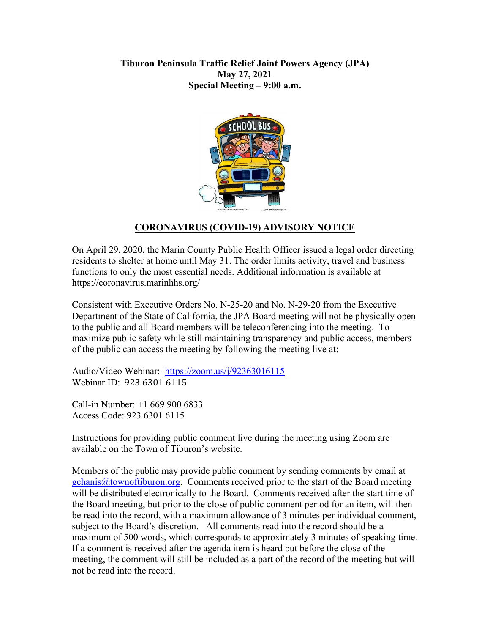## **Tiburon Peninsula Traffic Relief Joint Powers Agency (JPA) May 27, 2021 Special Meeting – 9:00 a.m.**



# **CORONAVIRUS (COVID-19) ADVISORY NOTICE**

On April 29, 2020, the Marin County Public Health Officer issued a legal order directing residents to shelter at home until May 31. The order limits activity, travel and business functions to only the most essential needs. Additional information is available at https://coronavirus.marinhhs.org/

Consistent with Executive Orders No. N-25-20 and No. N-29-20 from the Executive Department of the State of California, the JPA Board meeting will not be physically open to the public and all Board members will be teleconferencing into the meeting. To maximize public safety while still maintaining transparency and public access, members of the public can access the meeting by following the meeting live at:

Audio/Video Webinar: <https://zoom.us/j/92363016115> Webinar ID: 923 6301 6115

Call-in Number: +1 669 900 6833 Access Code: 923 6301 6115

Instructions for providing public comment live during the meeting using Zoom are available on the Town of Tiburon's website.

Members of the public may provide public comment by sending comments by email at [gchanis@townoftiburon.org.](mailto:gchanis@townoftiburon.org) Comments received prior to the start of the Board meeting will be distributed electronically to the Board. Comments received after the start time of the Board meeting, but prior to the close of public comment period for an item, will then be read into the record, with a maximum allowance of 3 minutes per individual comment, subject to the Board's discretion. All comments read into the record should be a maximum of 500 words, which corresponds to approximately 3 minutes of speaking time. If a comment is received after the agenda item is heard but before the close of the meeting, the comment will still be included as a part of the record of the meeting but will not be read into the record.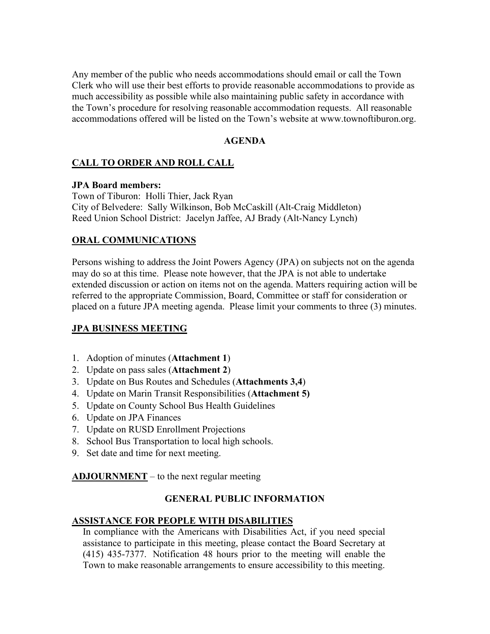Any member of the public who needs accommodations should email or call the Town Clerk who will use their best efforts to provide reasonable accommodations to provide as much accessibility as possible while also maintaining public safety in accordance with the Town's procedure for resolving reasonable accommodation requests. All reasonable accommodations offered will be listed on the Town's website at www.townoftiburon.org.

### **AGENDA**

## **CALL TO ORDER AND ROLL CALL**

#### **JPA Board members:**

Town of Tiburon: Holli Thier, Jack Ryan City of Belvedere: Sally Wilkinson, Bob McCaskill (Alt-Craig Middleton) Reed Union School District: Jacelyn Jaffee, AJ Brady (Alt-Nancy Lynch)

### **ORAL COMMUNICATIONS**

Persons wishing to address the Joint Powers Agency (JPA) on subjects not on the agenda may do so at this time. Please note however, that the JPA is not able to undertake extended discussion or action on items not on the agenda. Matters requiring action will be referred to the appropriate Commission, Board, Committee or staff for consideration or placed on a future JPA meeting agenda. Please limit your comments to three (3) minutes.

### **JPA BUSINESS MEETING**

- 1. Adoption of minutes (**Attachment 1**)
- 2. Update on pass sales (**Attachment 2**)
- 3. Update on Bus Routes and Schedules (**Attachments 3,4**)
- 4. Update on Marin Transit Responsibilities (**Attachment 5)**
- 5. Update on County School Bus Health Guidelines
- 6. Update on JPA Finances
- 7. Update on RUSD Enrollment Projections
- 8. School Bus Transportation to local high schools.
- 9. Set date and time for next meeting.

**ADJOURNMENT** – to the next regular meeting

#### **GENERAL PUBLIC INFORMATION**

#### **ASSISTANCE FOR PEOPLE WITH DISABILITIES**

In compliance with the Americans with Disabilities Act, if you need special assistance to participate in this meeting, please contact the Board Secretary at (415) 435-7377. Notification 48 hours prior to the meeting will enable the Town to make reasonable arrangements to ensure accessibility to this meeting.